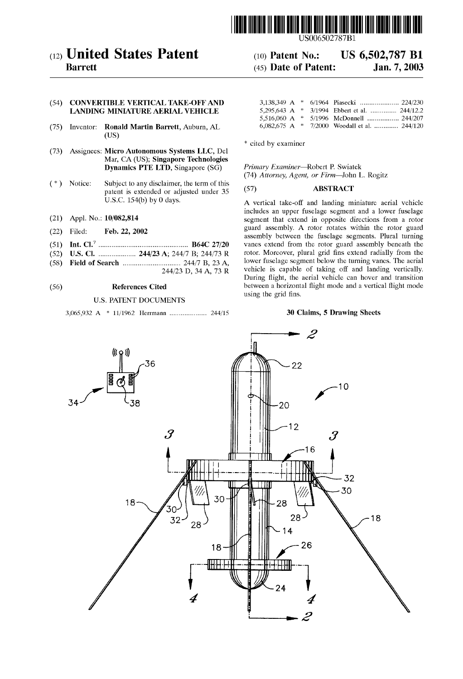

(12) United States Patent (10) Patent No.: US 6,502,787 B1<br>Barrett (45) Date of Patent: Jan. 7, 2003

# (54) CONVERTIBLE VERTICAL TAKE-OFF AND LANDING MINIATURE AERIAL VEHICLE

- Inventor: Ronald Martin Barrett, Auburn, AL  $(75)$ (Us)
- (73) Assignees: Micro Autonomous Systems LLC, Del Mar, CA (US); Singapore Technologies Dynamics PTE LTD, Singapore (SG) Primary Examiner—Robert P. Swiatek
- ( \* ) Notice: Subject to any disclaimer, the term of this subject to any disciantiet, the term of this<br>patent is extended or adjusted under 35 (57) **ABSTRACT**<br>U.S.C. 154(b) by 0 days.
- 
- 
- 
- 
- (58) Field of Search ............................. .. 244/7 B, 23 A, lower fuselage Segment below the turning Vanes- The aerial

# U.S. PATENT DOCUMENTS

3,065,932 A \* 11/1962 Herrmann .................. .. 244/15 30 Claims, 5 Drawing Sheets

# $(45)$  Date of Patent:

|  | 5,295,643 A * 3/1994 Ebbert et al.  244/12.2   |
|--|------------------------------------------------|
|  | 5,516,060 A * 5/1996 McDonnell  244/207        |
|  | 6,082,675 A $*$ 7/2000 Woodall et al.  244/120 |

\* cited by examiner

(74) Attorney, Agent, or Firm-John L. Rogitz

A vertical take-off and landing miniature aerial vehicle includes an upper fuselage segment and a loWer fuselage (21) Appl. No.: 10/082,814 segment that extend in opposite directions from a rotor Filed: Feb. 22, 2002 guard assembly. A rotor rotates within the rotor guard (22) Filed: Feb. 22, 2002 eyard assembly. A rotor rotates within the rotor guard<br>assembly between the fuselage segments. Plural turning (51) Int. Cl.7 .............................................. .. B64C 27/20 vanes extend from the rotor guard assembly beneath the (52) U.S. Cl. ........................ 244/23 A; 244/7 B; 244/73 R rotor. Moreover, plural grid fins extend radially from the (58) Field of Search 244/7 B 23 A lower fuselage segment below the turning vanes. The aerial  $244/23$  D,  $34$  A,  $73$  R vehicle is capable of taking off and landing vertically. During flight, the aerial vehicle can hover and transition (56) **References Cited** between a horizontal flight mode and a vertical flight mode using the grid fins.

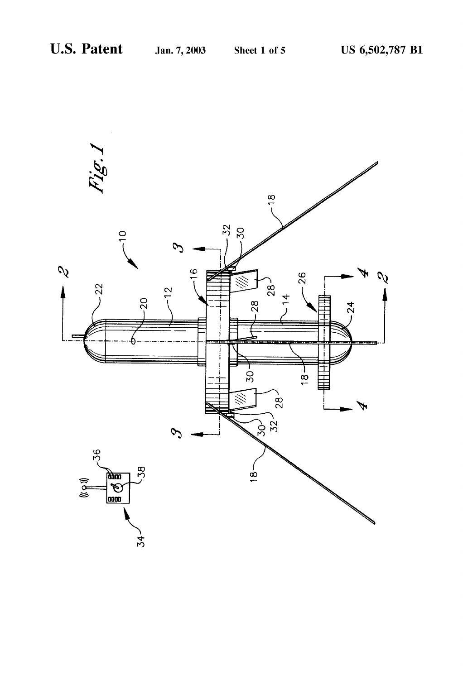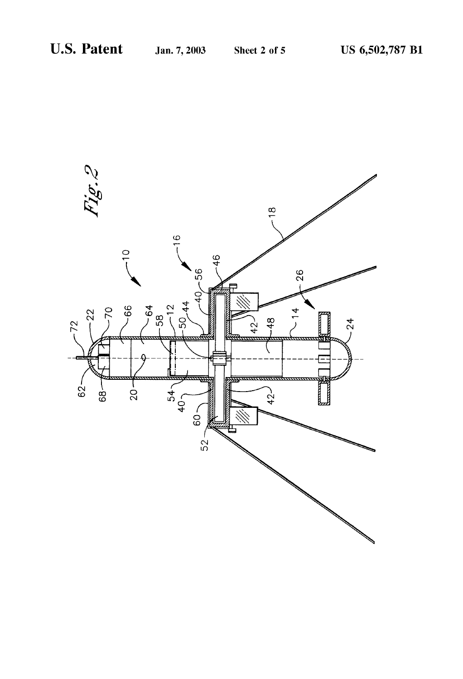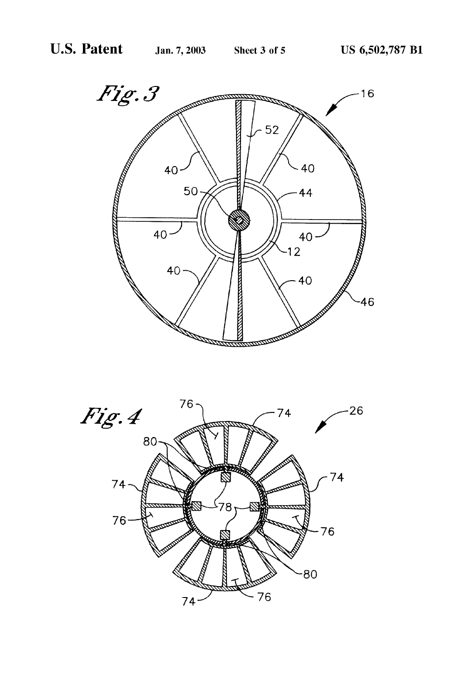

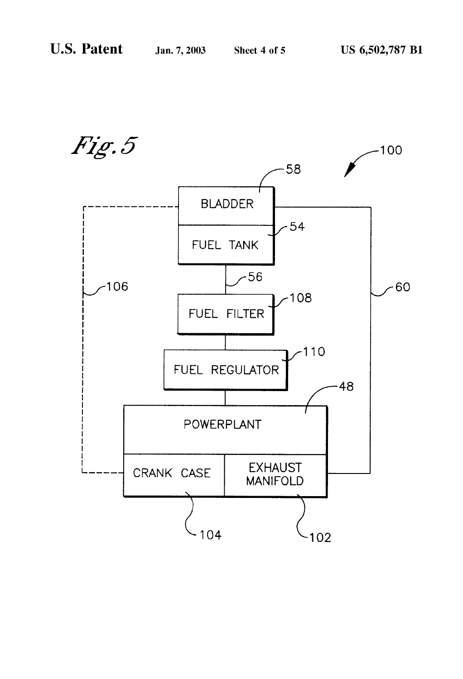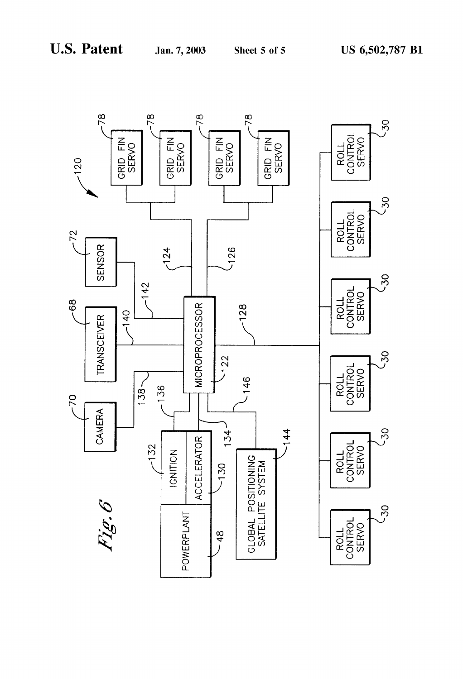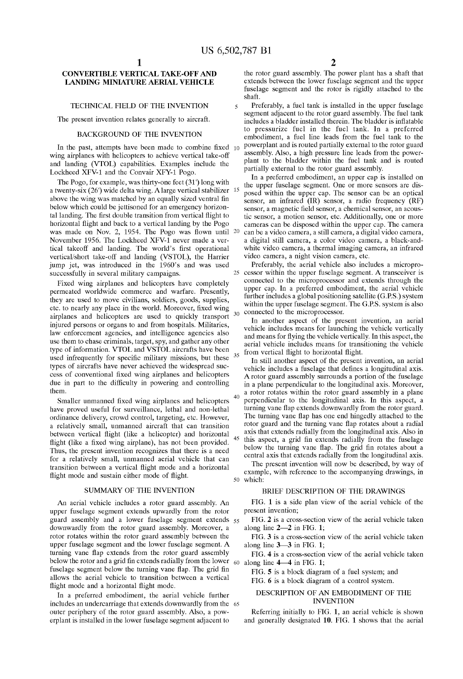20

45

# CONVERTIBLE VERTICAL TAKE-OFF AND LANDING MINIATURE AERIAL VEHICLE

# TECHNICAL FIELD OF THE INVENTION

The present invention relates generally to aircraft.

# BACKGROUND OF THE INVENTION

In the past, attempts have been made to combine fixed  $10$ wing airplanes with helicopters to achieve vertical take-off and landing (VTOL) capabilities. Examples include the Lockheed XFV-l and the Convair XFY-l Pogo.

The Pogo, for example, was thirty-one feet  $(31')$  long with a twenty-six  $(26')$  wide delta wing. A large vertical stabilizer  $15$ above the wing was matched by an equally sized ventral fin below which could be jettisoned for an emergency horizontal landing. The first double transition from vertical flight to horizontal flight and back to a vertical landing by the Pogo was made on Nov. 2, 1954. The Pogo was flown until November 1956. The Lockheed XFV-l never made a ver tical takeoff and landing. The world's first operational vertical/short take-off and landing (VSTOL), the Harrier jump jet, Was introduced in the 1960's and Was used successfully in several military campaigns.

Fixed Wing airplanes and helicopters have completely permeated WorldWide commerce and Warfare. Presently, they are used to move civilians, soldiers, goods, supplies, etc. to nearly any place in the world. Moreover, fixed wing  $\frac{30}{2}$ airplanes and helicopters are used to quickly transport injured persons or organs to and from hospitals. Militaries, laW enforcement agencies, and intelligence agencies also use them to chase criminals, target, spy, and gather any other type of information. VTOL and VSTOL aircrafts have been used infrequently for specific military missions, but these types of aircrafts have never achieved the Widespread suc cess of conventional fixed wing airplanes and helicopters due in part to the difficulty in powering and controlling them.

Smaller unmanned fixed wing airplanes and helicopters have proved useful for surveillance, lethal and non-lethal ordinance delivery, croWd control, targeting, etc. HoWever, a relatively small, unmanned aircraft that can transition between vertical flight (like a helicopter) and horizontal flight (like a fixed wing airplane), has not been provided. Thus, the present invention recognizes that there is a need for a relatively small, unmanned aerial vehicle that can transition between a vertical flight mode and a horizontal flight mode and sustain either mode of flight.

## SUMMARY OF THE INVENTION

An aerial vehicle includes a rotor guard assembly. An upper fuselage segment extends upWardly from the rotor guard assembly and a loWer fuselage segment extends 55 doWnWardly from the rotor guard assembly. Moreover, a rotor rotates within the rotor guard assembly between the upper fuselage segment and the loWer fuselage segment. A turning vane flap extends from the rotor guard assembly below the rotor and a grid fin extends radially from the lower  $\epsilon_0$  along line 4–4 in FIG. 1; fuselage segment below the turning vane flap. The grid fin allows the aerial vehicle to transition between a vertical flight mode and a horizontal flight mode.

In a preferred embodiment, the aerial vehicle further includes an undercarriage that extends doWnWardly from the 65 outer periphery of the rotor guard assembly. Also, a poW erplant is installed in the loWer fuselage segment adjacent to

the rotor guard assembly. The power plant has a shaft that extends betWeen the loWer fuselage segment and the upper fuselage segment and the rotor is rigidly attached to the shaft.

Preferably, a fuel tank is installed in the upper fuselage segment adjacent to the rotor guard assembly. The fuel tank includes a bladder installed therein. The bladder is inflatable to pressurize fuel in the fuel tank. In a preferred embodiment, a fuel line leads from the fuel tank to the poWerplant and is routed partially external to the rotor guard assembly. Also, a high pressure line leads from the powerplant to the bladder Within the fuel tank and is routed partially external to the rotor guard assembly.

In a preferred embodiment, an upper cap is installed on the upper fuselage segment. One or more sensors are dis posed Within the upper cap. The sensor can be an optical sensor, an infrared (IR) sensor, a radio frequency (RF) sensor, a magnetic field sensor, a chemical sensor, an acoustic sensor, a motion sensor, etc. Additionally, one or more cameras can be disposed Within the upper cap. The camera can be a video camera, a still camera, a digital video camera, a digital still camera, a color video camera, a black-and White video camera, a thermal imaging camera, an infrared video camera, a night vision camera, etc.

25 cessor Within the upper fuselage segment. A transceiver is Preferably, the aerial vehicle also includes a micropro connected to the microprocessor and extends through the upper cap. In a preferred embodiment, the aerial vehicle further includes a global positioning satellite (G.P.S.) system within the upper fuselage segment. The G.P.S. system is also connected to the microprocessor.

In another aspect of the present invention, an aerial vehicle includes means for launching the vehicle vertically and means for flying the vehicle vertically. In this aspect, the aerial vehicle includes means for transitioning the vehicle from vertical flight to horizontal flight.

In still another aspect of the present invention, an aerial vehicle includes a fuselage that defines a longitudinal axis. A rotor guard assembly surrounds a portion of the fuselage<br>in a plane perpendicular to the longitudinal axis. Moreover, a rotor rotates within the rotor guard assembly in a plane perpendicular to the longitudinal axis. In this aspect, a turning vane flap extends downwardly from the rotor guard. The turning vane flap has one end hingedly attached to the rotor guard and the turning vane flap rotates about a radial axis that extends radially from the longitudinal axis. Also in this aspect, a grid fin extends radially from the fuselage below the turning vane flap. The grid fin rotates about a central axis that extends radially from the longitudinal axis.

The present invention will now be described, by way of example, With reference to the accompanying draWings, in 50 Which:

## BRIEF DESCRIPTION OF THE DRAWINGS

FIG. 1 is a side plan vieW of the aerial vehicle of the present invention;

FIG. 2 is a cross-section vieW of the aerial vehicle taken along line 2—2 in FIG. 1;

FIG. 3 is a cross-section vieW of the aerial vehicle taken along line 3—3 in FIG. 1;

FIG. 4 is a cross-section vieW of the aerial vehicle taken

FIG. 5 is a block diagram of a fuel system; and

FIG. 6 is a block diagram of a control system.

# DESCRIPTION OF AN EMBODIMENT OF THE INVENTION

Referring initially to FIG. 1, an aerial vehicle is shoWn and generally designated 10. FIG. 1 shows that the aerial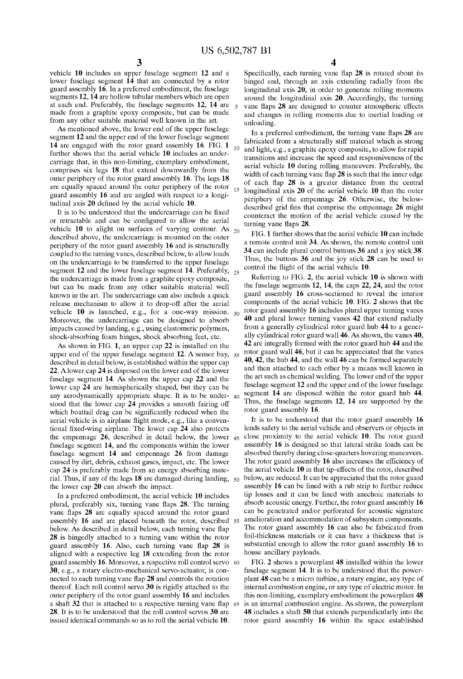$10<sup>1</sup>$ 

vehicle 10 includes an upper fuselage segment 12 and a loWer fuselage segment 14 that are connected by a rotor guard assembly 16. In a preferred embodiment, the fuselage segments 12, 14 are hollow tubular members which are open at each end. Preferably, the fuselage segments 12, 14 are made from a graphite epoxy composite, but can be made from any other suitable material well known in the art.

As mentioned above, the lower end of the upper fuselage segment 12 and the upper end of the lower fuselage segment 14 are engaged With the rotor guard assembly 16. FIG. 1 further shows that the aerial vehicle 10 includes an undercarriage that, in this non-limiting, exemplary embodiment, comprises six legs 18 that extend doWnWardly from the outer periphery of the rotor guard assembly 16. The legs 18 are equally spaced around the outer periphery of the rotor guard assembly 16 and are angled With respect to a longi tudinal axis  $20$  defined by the aerial vehicle  $10$ .

It is to be understood that the undercarriage can be fixed or retractable and can be configured to allow the aerial vehicle 10 to alight on surfaces of varying contour. As  $_{20}$ described above, the undercarriage is mounted on the outer periphery of the rotor guard assembly 16 and is structurally coupled to the turning vanes, described beloW, to alloW loads on the undercarriage to be transferred to the upper fuselage segment  $12$  and the lower fuselage segment  $14$ . Preferably,  $_{25}$ the undercarriage is made from a graphite epoxy composite, but can be made from any other suitable material Well knoWn in the art. The undercarriage can also include a quick release mechanism to alloW it to drop-off after the aerial vehicle 10 is launched, e.g., for a one-Way mission.  $30<sup>o</sup>$ Moreover, the undercarriage can be designed to absorb impacts caused by landing, e.g., using elastomeric polymers, shock-absorbing foam hinges, shock absorbing feet, etc.

As shoWn in FIG. 1, an upper cap 22 is installed on the upper end of the upper fuselage segment 12. A sensor bay, 35 described in detail beloW, is established Within the upper cap 22. A lower cap 24 is disposed on the lower end of the lower fuselage segment 14. As shown the upper cap 22 and the loWer cap 24 are hemispherically shaped, but they can be any aerodynamically appropriate shape. It is to be under- $40$ stood that the lower cap 24 provides a smooth fairing off which boattail drag can be significantly reduced when the aerial vehicle is in airplane flight mode, e.g., like a conventional fixed-wing airplane. The lower cap  $24$  also protects the empennage 26, described in detail beloW, the loWer 45 fuselage segment 14, and the components within the lower fuselage segment 14 and empennage 26 from damage caused by dirt, debris, exhaust gases, impact, etc. The loWer cap 24 is preferably made from an energy absorbing mate rial. Thus, if any of the legs 18 are damaged during landing, the loWer cap 20 can absorb the impact.

In a preferred embodiment, the aerial vehicle 10 includes plural, preferably six, turning vane flaps  $28$ . The turning vane flaps  $28$  are equally spaced around the rotor guard assembly 16 and are placed beneath the rotor, described 55 below. As described in detail below, each turning vane flap 28 is hingedly attached to a turning vane Within the rotor guard assembly 16. Also, each turning vane flap  $28$  is aligned With a respective leg 18 extending from the rotor guard assembly 16. Moreover, a respective roll control servo 30, e.g., a rotary electro-mechanical servo-actuator, is con nected to each turning vane flap 28 and controls the rotation thereof. Each roll control servo 30 is rigidly attached to the outer periphery of the rotor guard assembly 16 and includes a shaft 32 that is attached to a respective turning vane flap 28. It is to be understood that the roll control servos 30 are issued identical commands so as to roll the aerial vehicle 10. 65

4

Specifically, each turning vane flap  $28$  is rotated about its hinged end, through an axis extending radially from the longitudinal axis  $20$ , in order to generate rolling moments around the longitudinal axis  $20$ . Accordingly, the turning vane flaps 28 are designed to counter atmospheric effects and changes in rolling moments due to inertial loading or unloading.

In a preferred embodiment, the turning vane flaps  $28$  are fabricated from a structurally stiff material which is strong and light, e.g., a graphite epoxy composite, to allow for rapid transitions and increase the speed and responsiveness of the aerial vehicle 10 during rolling maneuvers. Preferably, the width of each turning vane flap  $28$  is such that the inner edge of each flap  $28$  is a greater distance from the central longitudinal axis 20 of the aerial vehicle 10 than the outer periphery of the empennage 26. Otherwise, the belowdescribed grid fins that comprise the empennage 26 might counteract the motion of the aerial vehicle caused by the turning vane flaps 28.

FIG. 1 further shows that the aerial vehicle 10 can include a remote control unit 34. As shown, the remote control unit 34 can include plural control buttons 36 and a joy stick 38. Thus, the buttons 36 and the joy stick 28 can be used to control the flight of the aerial vehicle 10.

Referring to FIG. 2, the aerial vehicle  $10$  is shown with the fuselage segments 12, 14, the caps 22, 24, and the rotor guard assembly 16 cross-sectioned to reveal the interior components of the aerial vehicle 10. FIG. 2 shoWs that the rotor guard assembly 16 includes plural upper turning vanes 40 and plural loWer turning vanes 42 that extend radially from a generally cylindrical rotor guard hub 44 to a gener ally cylindrical rotor guard Wall 46. As shoWn, the vanes 40, 42 are integrally formed With the rotor guard hub 44 and the rotor guard Wall 46, but it can be appreciated that the vanes 40, 42, the hub 44, and the Wall 46 can be formed separately and then attached to each other by a means Well knoWn in the art such as chemical Welding. The loWer end of the upper fuselage segment 12 and the upper end of the lower fuselage segment 14 are disposed Within the rotor guard hub 44. Thus, the fuselage segments 12, 14 are supported by the rotor guard assembly 16.

It is to be understood that the rotor guard assembly 16 lends safety to the aerial vehicle and observers or objects in close proximity to the aerial vehicle 10. The rotor guard assembly 16 is designed so that lateral strike loads can be absorbed thereby during close-quarters hovering maneuvers. The rotor guard assembly 16 also increases the efficiency of the aerial vehicle 10 in that tip-effects of the rotor, described beloW, are reduced. It can be appreciated that the rotor guard assembly 16 can be lined With a rub strip to further reduce tip losses and it can be lined With anechoic materials to absorb acoustic energy. Further, the rotor guard assembly 16 can be penetrated and/or perforated for acoustic signature amelioration and accommodation of subsystem components. The rotor guard assembly 16 can also be fabricated from foil-thickness materials or it can have a thickness that is substantial enough to allow the rotor guard assembly 16 to house ancillary payloads.

FIG. 2 shows a powerplant 48 installed within the lower fuselage segment  $14$ . It is to be understood that the powerplant 48 can be a micro turbine, a rotary engine, any type of internal combustion engine, or any type of electric motor. In this non-limiting, exemplary embodiment the powerplant 48 is an internal combustion engine. As shown, the powerplant 48 includes a shaft 50 that extends perpendicularly into the rotor guard assembly 16 Within the space established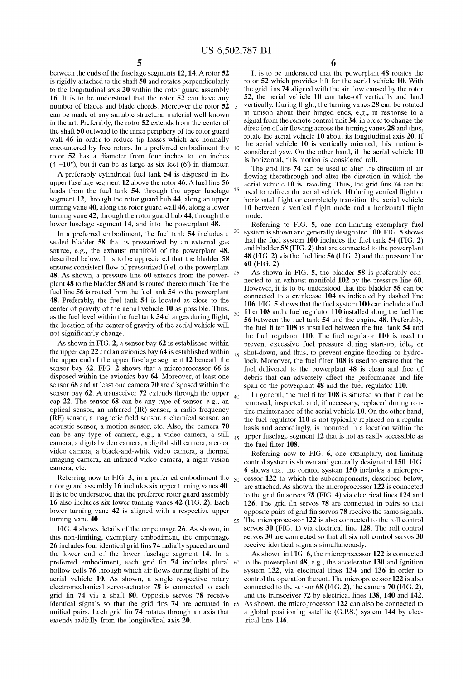20

 $30$ 

between the ends of the fuselage segments 12, 14. Arotor 52 is rigidly attached to the shaft 50 and rotates perpendicularly to the longitudinal axis 20 Within the rotor guard assembly 16. It is to be understood that the rotor 52 can have any number of blades and blade chords. Moreover the rotor 52 can be made of any suitable structural material Well knoWn in the art. Preferably, the rotor 52 extends from the center of the shaft 50 outWard to the inner periphery of the rotor guard wall 46 in order to reduce tip losses which are normally encountered by free rotors. In a preferred embodiment the rotor 52 has a diameter from four inches to ten inches  $(4<sup>n</sup>-10<sup>n</sup>)$ , but it can be as large as six feet  $(6<sup>n</sup>)$  in diameter.

A preferably cylindrical fuel tank 54 is disposed in the upper fuselage segment 12 above the rotor 46. Afuel line 56 leads from the fuel tank 54, through the upper fuselage segment 12, through the rotor guard hub 44, along an upper turning vane 40, along the rotor guard wall 46, along a lower turning vane 42, through the rotor guard hub 44, through the lower fuselage segment 14, and into the powerplant 48.

In a preferred embodiment, the fuel tank 54 includes a sealed bladder 58 that is pressurized by an external gas source, e.g., the exhaust manifold of the powerplant 48, described beloW. It is to be appreciated that the bladder 58 ensures consistent flow of pressurized fuel to the powerplant  $\frac{1}{25}$ 48. As shown, a pressure line 60 extends from the powerplant 48 to the bladder 58 and is routed thereto much like the fuel line 56 is routed from the fuel tank 54 to the powerplant 48. Preferably, the fuel tank 54 is located as close to the center of gravity of the aerial vehicle 10 as possible. Thus, as the fuel level within the fuel tank  $54$  changes during flight, the location of the center of gravity of the aerial vehicle Will not significantly change.

As shown in FIG. 2, a sensor bay 62 is established within the upper cap 22 and an avionics bay 64 is established Within 35 the upper end of the upper fuselage segment 12 beneath the sensor bay 62. FIG. 2 shows that a microprocessor 66 is disposed Within the avionics bay 64. Moreover, at least one sensor 68 and at least one camera 70 are disposed Within the sensor bay 62. A transceiver 72 extends through the upper  $40$ cap 22. The sensor 68 can be any type of sensor, e.g., an optical sensor, an infrared (IR) sensor, a radio frequency (RF) sensor, a magnetic field sensor, a chemical sensor, an acoustic sensor, a motion sensor, etc. Also, the camera 70 can be any type of camera, e.g., a video camera, a still camera, a digital video camera, a digital still camera, a color video camera, a black-and-White video camera, a thermal imaging camera, an infrared video camera, a night vision camera, etc.

Referring now to FIG. 3, in a preferred embodiment the  $\varsigma_0$ rotor guard assembly 16 includes six upper turning vanes 40. It is to be understood that the preferred rotor guard assembly 16 also includes six lower turning vanes 42 (FIG. 2). Each lower turning vane 42 is aligned with a respective upper turning vane 40.

FIG. 4 shoWs details of the empennage 26. As shoWn, in this non-limiting, exemplary embodiment, the empennage 26 includes four identical grid fins 74 radially spaced around the loWer end of the loWer fuselage segment 14. In a preferred embodiment, each grid fin 74 includes plural 60 hollow cells 76 through which air flows during flight of the aerial vehicle 10. As shown, a single respective rotary electromechanical servo-actuator 78 is connected to each grid fin 74 via a shaft 80. Opposite servos 78 receive identical signals so that the grid fins  $74$  are actuated in  $65$ unified pairs. Each grid fin 74 rotates through an axis that extends radially from the longitudinal axis 20.

6

It is to be understood that the powerplant 48 rotates the rotor 52 Which provides lift for the aerial vehicle 10. With the grid fins 74 aligned with the air flow caused by the rotor 52, the aerial vehicle 10 can take-off vertically and land vertically. During flight, the turning vanes 28 can be rotated in unison about their hinged ends, e.g., in response to a signal from the remote control unit 34, in order to change the direction of air flowing across the turning vanes  $28$  and thus, rotate the aerial vehicle 10 about its longitudinal axis 20. If the aerial vehicle 10 is vertically oriented, this motion is considered yaW. On the other hand, if the aerial vehicle 10 is horizontal, this motion is considered roll.

The grid fins 74 can be used to alter the direction of air flowing therethrough and alter the direction in which the aerial vehicle  $10$  is traveling. Thus, the grid fins  $74$  can be used to redirect the aerial vehicle 10 during vertical flight or horizontal flight or completely transition the aerial vehicle 10 between a vertical flight mode and a horizontal flight mode.

Referring to FIG. 5, one non-limiting exemplary fuel system is shown and generally designated  $100$ . FIG. 5 shows that the fuel system  $\overline{100}$  includes the fuel tank 54 (FIG. 2) and bladder  $58$  (FIG. 2) that are connected to the powerplant 48 (FIG. 2) via the fuel line 56 (FIG. 2) and the pressure line 60 (FIG. 2).

As shoWn in FIG. 5, the bladder 58 is preferably con nected to an exhaust manifold 102 by the pressure line 60. HoWever, it is to be understood that the bladder 58 can be connected to a crankcase 104 as indicated by dashed line 106. FIG. 5 shows that the fuel system 100 can include a fuel filter  $108$  and a fuel regulator  $110$  installed along the fuel line 56 betWeen the fuel tank 54 and the engine 48. Preferably, the fuel filter 108 is installed between the fuel tank 54 and the fuel regulator 110. The fuel regulator 110 is used to prevent excessive fuel pressure during start-up, idle, or shut-down, and thus, to prevent engine flooding or hydrolock. Moreover, the fuel filter 108 is used to ensure that the fuel delivered to the powerplant 48 is clean and free of debris that can adversely affect the performance and life span of the powerplant 48 and the fuel regulator 110.

45 upper fuselage segment 12 that is not as easily accessible as In general, the fuel filter  $108$  is situated so that it can be removed, inspected, and, if necessary, replaced during rou tine maintenance of the aerial vehicle 10. On the other hand, the fuel regulator 110 is not typically replaced on a regular basis and accordingly, is mounted in a location Within the the fuel filter 108.

55 Referring noW to FIG. 6, one exemplary, non-limiting control system is shoWn and generally designated 150. FIG. 6 shoWs that the control system 150 includes a micropro cessor 122 to Which the subcomponents, described beloW, are attached. As shown, the microprocessor 122 is connected to the grid fin servos  $78$  (FIG. 4) via electrical lines 124 and 126. The grid fin servos  $78$  are connected in pairs so that opposite pairs of grid fin servos 78 receive the same signals. The microprocessor 122 is also connected to the roll control servos 30 (FIG. 1) via electrical line 128. The roll control servos 30 are connected so that all six roll control servos 30 receive identical signals simultaneously.

As shown in FIG. 6, the microprocessor 122 is connected to the poWerplant 48, e.g., the accelerator 130 and ignition system 132, via electrical lines 134 and 136 in order to control the operation thereof. The microprocessor 122 is also connected to the sensor 68 (FIG. 2), the camera 70 (FIG. 2), and the transceiver 72 by electrical lines 138, 140 and 142. As shown, the microprocessor 122 can also be connected to a global positioning satellite (G.P.S.) system 144 by elec trical line 146.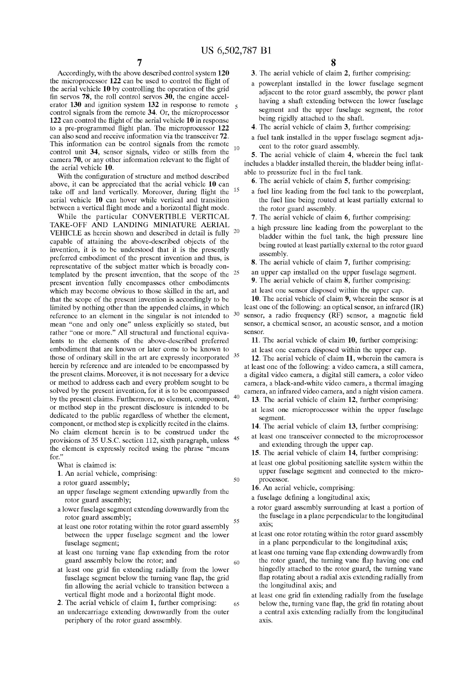Accordingly, With the above described control system 120 the microprocessor  $122$  can be used to control the flight of the aerial vehicle 10 by controlling the operation of the grid fin servos  $78$ , the roll control servos  $30$ , the engine accelerator 130 and ignition system 132 in response to remote  $\frac{1}{5}$ control signals from the remote 34. Or, the microprocessor 122 can control the flight of the aerial vehicle  $10$  in response to a pre-programmed flight plan. The microprocessor 122 can also send and receive information via the transceiver 72. This information can be control signals from the remote  $_{10}$ control unit 34, sensor signals, video or stills from the camera 70, or any other information relevant to the flight of the aerial vehicle 10.

With the configuration of structure and method described above, it can be appreciated that the aerial vehicle 10 can take off and land vertically. Moreover, during flight the aerial vehicle 10 can hover While vertical and transition between a vertical flight mode and a horizontal flight mode.

While the particular CONVERTIBLE VERTICAL TAKE-OFF AND LANDING MINIATURE AERIAL VEHICLE as herein shown and described in detail is fully  $20$ capable of attaining the above-described objects of the invention, it is to be understood that it is the presently preferred embodiment of the present invention and thus, is representative of the subject matter Which is broadly con templated by the present invention, that the scope of the  $25$ present invention fully encompasses other embodiments Which may become obvious to those skilled in the art, and that the scope of the present invention is accordingly to be limited by nothing other than the appended claims, in which reference to an element in the singular is not intended to  $30$ reference to an element in the singular is not intended to mean "one and only one" unless explicitly so stated, but rather "one or more." All structural and functional equiva lents to the elements of the above-described preferred embodiment that are knoWn or later come to be knoWn to those of ordinary skill in the art are expressly incorporated <sup>35</sup> herein by reference and are intended to be encompassed by the present claims. Moreover, it is not necessary for a device or method to address each and every problem sought to be solved by the present invention, for it is to be encompassed by the present claims. Furthermore, no element, component, or method step in the present disclosure is intended to be dedicated to the public regardless of Whether the element, component, or method step is explicitly recited in the claims. No claim element herein is to be construed under the provisions of 35 U.S.C. section 112, sixth paragraph, unless <sup>45</sup> the element is expressly recited using the phrase "means for."

What is claimed is:

- 1. An aerial vehicle, comprising:
- a rotor guard assembly;
- an upper fuselage segment extending upWardly from the rotor guard assembly;
- a loWer fuselage segment extending doWnWardly from the rotor guard assembly; 55
- at least one rotor rotating Within the rotor guard assembly between the upper fuselage segment and the lower fuselage segment;
- at least one turning vane flap extending from the rotor guard assembly beloW the rotor; and
- at least one grid fin extending radially from the lower fuselage segment below the turning vane flap, the grid fin allowing the aerial vehicle to transition between a vertical flight mode and a horizontal flight mode.
- 2. The aerial vehicle of claim 1, further comprising:
- an undercarriage extending doWnWardly from the outer periphery of the rotor guard assembly.
- 3. The aerial vehicle of claim 2, further comprising:
- a poWerplant installed in the loWer fuselage segment adjacent to the rotor guard assembly, the poWer plant having a shaft extending between the lower fuselage segment and the upper fuselage segment, the rotor being rigidly attached to the shaft.
- 4. The aerial vehicle of claim 3, further comprising:
- a fuel tank installed in the upper fuselage segment adja cent to the rotor guard assembly.

5. The aerial vehicle of claim 4, Wherein the fuel tank includes a bladder installed therein, the bladder being inflatable to pressurize fuel in the fuel tank.

- 6. The aerial vehicle of claim 5, further comprising:
- a fuel line leading from the fuel tank to the powerplant, the fuel line being routed at least partially external to the rotor guard assembly.
- 7. The aerial vehicle of claim 6, further comprising:
- a high pressure line leading from the poWerplant to the bladder Within the fuel tank, the high pressure line being routed at least partially external to the rotor guard assembly.
- 8. The aerial vehicle of claim 7, further comprising:
- an upper cap installed on the upper fuselage segment.
- 9. The aerial vehicle of claim 8, further comprising:
- at least one sensor disposed Within the upper cap.

10. The aerial vehicle of claim 9, Wherein the sensor is at least one of the folloWing: an optical sensor, an infrared (IR) sensor, a radio frequency (RF) sensor, a magnetic field sensor, a chemical sensor, an acoustic sensor, and a motion sensor.

11. The aerial vehicle of claim 10, further comprising:

at least one camera disposed Within the upper cap.

12. The aerial vehicle of claim 11, Wherein the camera is at least one of the folloWing: a video camera, a still camera, a digital video camera, a digital still camera, a color video camera, a black-and-White video camera, a thermal imaging camera, an infrared video camera, and a night vision camera.

- 13. The aerial vehicle of claim 12, further comprising:
	- at least one microprocessor Within the upper fuselage segment.
	- 14. The aerial vehicle of claim 13, further comprising:
	- at least one transceiver connected to the microprocessor and extending through the upper cap.
	- 15. The aerial vehicle of claim 14, further comprising:
- at least one global positioning satellite system Within the upper fuselage segment and connected to the micro processor.

16. An aerial vehicle, comprising:

- a fuselage defining a longitudinal axis;
- a rotor guard assembly surrounding at least a portion of the fuselage in a plane perpendicular to the longitudinal axis;
- at least one rotor rotating Within the rotor guard assembly in a plane perpendicular to the longitudinal axis;
- at least one turning vane flap extending downwardly from the rotor guard, the turning vane flap having one end hingedly attached to the rotor guard, the turning vane flap rotating about a radial axis extending radially from the longitudinal axis; and
- at least one grid fin extending radially from the fuselage below the, turning vane flap, the grid fin rotating about a central axis extending radially from the longitudinal axis.

 $50$ 

65

60